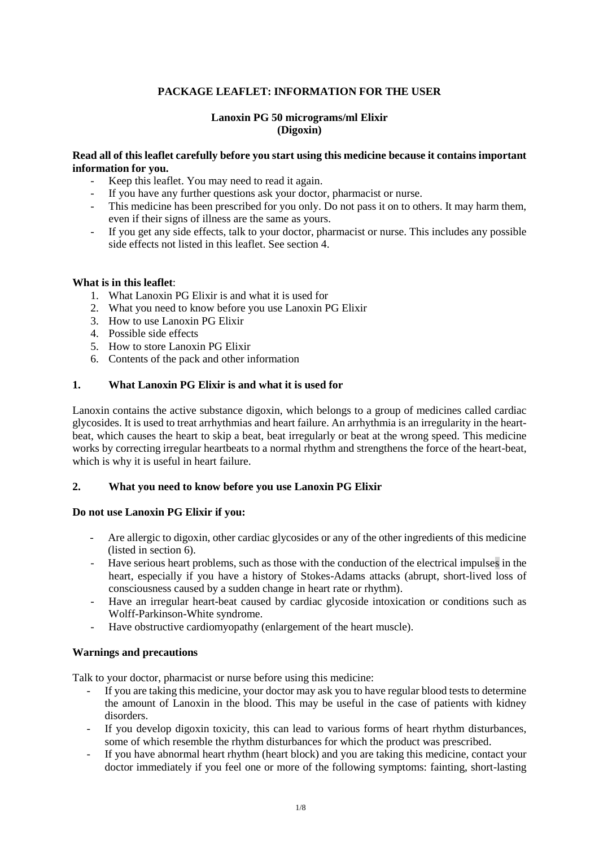## **PACKAGE LEAFLET: INFORMATION FOR THE USER**

## **Lanoxin PG 50 micrograms/ml Elixir (Digoxin)**

## **Read all of this leaflet carefully before you start using this medicine because it contains important information for you.**

- Keep this leaflet. You may need to read it again.
- If you have any further questions ask your doctor, pharmacist or nurse.
- This medicine has been prescribed for you only. Do not pass it on to others. It may harm them, even if their signs of illness are the same as yours.
- If you get any side effects, talk to your doctor, pharmacist or nurse. This includes any possible side effects not listed in this leaflet. See section 4.

## **What is in this leaflet**:

- 1. What Lanoxin PG Elixir is and what it is used for
- 2. What you need to know before you use Lanoxin PG Elixir
- 3. How to use Lanoxin PG Elixir
- 4. Possible side effects
- 5. How to store Lanoxin PG Elixir
- 6. Contents of the pack and other information

## **1. What Lanoxin PG Elixir is and what it is used for**

Lanoxin contains the active substance digoxin, which belongs to a group of medicines called cardiac glycosides. It is used to treat arrhythmias and heart failure. An arrhythmia is an irregularity in the heartbeat, which causes the heart to skip a beat, beat irregularly or beat at the wrong speed. This medicine works by correcting irregular heartbeats to a normal rhythm and strengthens the force of the heart-beat, which is why it is useful in heart failure.

## **2. What you need to know before you use Lanoxin PG Elixir**

## **Do not use Lanoxin PG Elixir if you:**

- Are allergic to digoxin, other cardiac glycosides or any of the other ingredients of this medicine (listed in section 6).
- Have serious heart problems, such as those with the conduction of the electrical impulses in the heart, especially if you have a history of Stokes-Adams attacks (abrupt, short-lived loss of consciousness caused by a sudden change in heart rate or rhythm).
- Have an irregular heart-beat caused by cardiac glycoside intoxication or conditions such as Wolff-Parkinson-White syndrome.
- Have obstructive cardiomyopathy (enlargement of the heart muscle).

## **Warnings and precautions**

Talk to your doctor, pharmacist or nurse before using this medicine:

- If you are taking this medicine, your doctor may ask you to have regular blood tests to determine the amount of Lanoxin in the blood. This may be useful in the case of patients with kidney disorders.
- If you develop digoxin toxicity, this can lead to various forms of heart rhythm disturbances, some of which resemble the rhythm disturbances for which the product was prescribed.
- If you have abnormal heart rhythm (heart block) and you are taking this medicine, contact your doctor immediately if you feel one or more of the following symptoms: fainting, short-lasting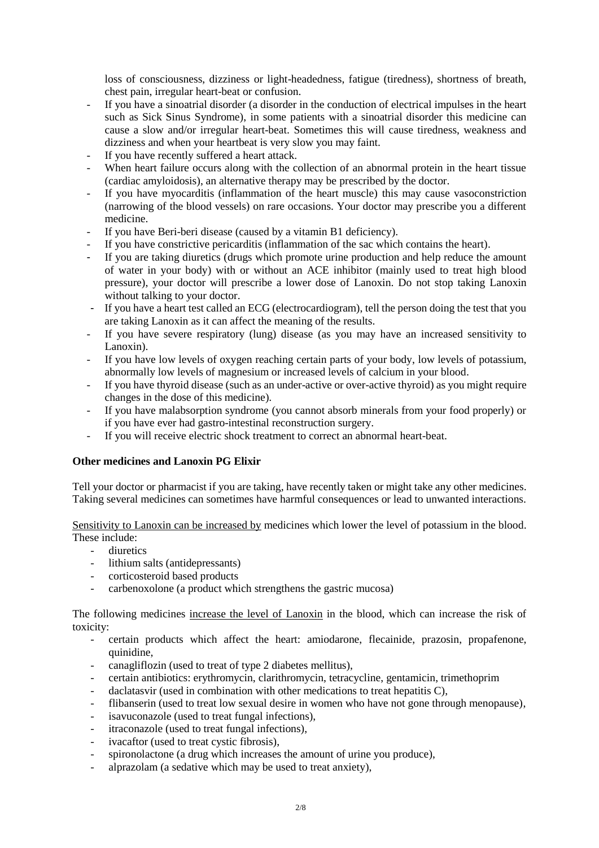loss of consciousness, dizziness or light-headedness, fatigue (tiredness), shortness of breath, chest pain, irregular heart-beat or confusion.

- If you have a sinoatrial disorder (a disorder in the conduction of electrical impulses in the heart such as Sick Sinus Syndrome), in some patients with a sinoatrial disorder this medicine can cause a slow and/or irregular heart-beat. Sometimes this will cause tiredness, weakness and dizziness and when your heartbeat is very slow you may faint.
- If you have recently suffered a heart attack.
- When heart failure occurs along with the collection of an abnormal protein in the heart tissue (cardiac amyloidosis), an alternative therapy may be prescribed by the doctor.
- If you have myocarditis (inflammation of the heart muscle) this may cause vasoconstriction (narrowing of the blood vessels) on rare occasions. Your doctor may prescribe you a different medicine.
- If you have Beri-beri disease (caused by a vitamin B1 deficiency).
- If you have constrictive pericarditis (inflammation of the sac which contains the heart).
- If you are taking diuretics (drugs which promote urine production and help reduce the amount of water in your body) with or without an ACE inhibitor (mainly used to treat high blood pressure), your doctor will prescribe a lower dose of Lanoxin. Do not stop taking Lanoxin without talking to your doctor.
- If you have a heart test called an ECG (electrocardiogram), tell the person doing the test that you are taking Lanoxin as it can affect the meaning of the results.
- If you have severe respiratory (lung) disease (as you may have an increased sensitivity to Lanoxin).
- If you have low levels of oxygen reaching certain parts of your body, low levels of potassium, abnormally low levels of magnesium or increased levels of calcium in your blood.
- If you have thyroid disease (such as an under-active or over-active thyroid) as you might require changes in the dose of this medicine).
- If you have malabsorption syndrome (you cannot absorb minerals from your food properly) or if you have ever had gastro-intestinal reconstruction surgery.
- If you will receive electric shock treatment to correct an abnormal heart-beat.

## **Other medicines and Lanoxin PG Elixir**

Tell your doctor or pharmacist if you are taking, have recently taken or might take any other medicines. Taking several medicines can sometimes have harmful consequences or lead to unwanted interactions.

Sensitivity to Lanoxin can be increased by medicines which lower the level of potassium in the blood. These include:

- diuretics
- lithium salts (antidepressants)
- corticosteroid based products
- carbenoxolone (a product which strengthens the gastric mucosa)

The following medicines increase the level of Lanoxin in the blood, which can increase the risk of toxicity:

- certain products which affect the heart: amiodarone, flecainide, prazosin, propafenone, quinidine,
- canagliflozin (used to treat of type 2 diabetes mellitus),
- certain antibiotics: erythromycin, clarithromycin, tetracycline, gentamicin, trimethoprim
- $d$ aclatasvir (used in combination with other medications to treat hepatitis C),
- flibanserin (used to treat low sexual desire in women who have not gone through menopause),
- isavuconazole (used to treat fungal infections),
- itraconazole (used to treat fungal infections),
- ivacaftor (used to treat cystic fibrosis),
- spironolactone (a drug which increases the amount of urine you produce),
- alprazolam (a sedative which may be used to treat anxiety),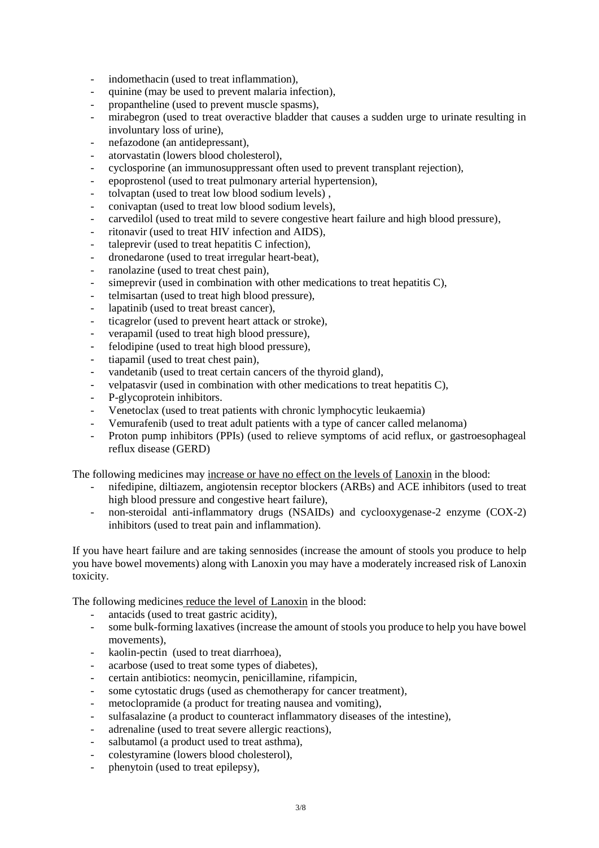- indomethacin (used to treat inflammation),
- quinine (may be used to prevent malaria infection),
- propantheline (used to prevent muscle spasms),
- mirabegron (used to treat overactive bladder that causes a sudden urge to urinate resulting in involuntary loss of urine),
- nefazodone (an antidepressant),
- atorvastatin (lowers blood cholesterol),
- cyclosporine (an immunosuppressant often used to prevent transplant rejection),
- epoprostenol (used to treat pulmonary arterial hypertension),
- tolvaptan (used to treat low blood sodium levels) ,
- conivaptan (used to treat low blood sodium levels),
- carvedilol (used to treat mild to severe congestive heart failure and high blood pressure),
- ritonavir (used to treat HIV infection and AIDS).
- taleprevir (used to treat hepatitis C infection),
- dronedarone (used to treat irregular heart-beat),
- ranolazine (used to treat chest pain),
- simeprevir (used in combination with other medications to treat hepatitis C).
- telmisartan (used to treat high blood pressure),
- lapatinib (used to treat breast cancer),
- ticagrelor (used to prevent heart attack or stroke),
- verapamil (used to treat high blood pressure),
- felodipine (used to treat high blood pressure),
- tiapamil (used to treat chest pain),
- vandetanib (used to treat certain cancers of the thyroid gland),
- velpatasvir (used in combination with other medications to treat hepatitis C),
- P-glycoprotein inhibitors.
- Venetoclax (used to treat patients with chronic lymphocytic leukaemia)
- Vemurafenib (used to treat adult patients with a type of cancer called melanoma)
- Proton pump inhibitors (PPIs) (used to relieve symptoms of acid reflux, or gastroesophageal reflux disease (GERD)

The following medicines may increase or have no effect on the levels of Lanoxin in the blood:

- nifedipine, diltiazem, angiotensin receptor blockers (ARBs) and ACE inhibitors (used to treat high blood pressure and congestive heart failure),
- non-steroidal anti-inflammatory drugs (NSAIDs) and cyclooxygenase-2 enzyme (COX-2) inhibitors (used to treat pain and inflammation).

If you have heart failure and are taking sennosides (increase the amount of stools you produce to help you have bowel movements) along with Lanoxin you may have a moderately increased risk of Lanoxin toxicity.

The following medicines reduce the level of Lanoxin in the blood:

- antacids (used to treat gastric acidity),
- some bulk-forming laxatives (increase the amount of stools you produce to help you have bowel movements),
- kaolin-pectin (used to treat diarrhoea),
- acarbose (used to treat some types of diabetes),
- certain antibiotics: neomycin, penicillamine, rifampicin,
- some cytostatic drugs (used as chemotherapy for cancer treatment),
- metoclopramide (a product for treating nausea and vomiting).
- sulfasalazine (a product to counteract inflammatory diseases of the intestine),
- adrenaline (used to treat severe allergic reactions).
- salbutamol (a product used to treat asthma),
- colestyramine (lowers blood cholesterol),
- phenytoin (used to treat epilepsy),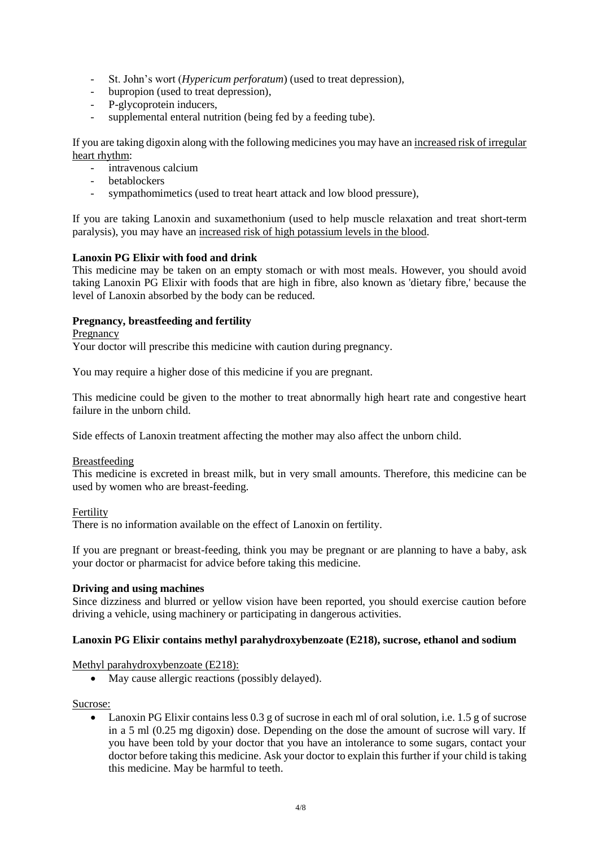- St. John's wort (*Hypericum perforatum*) (used to treat depression),
- bupropion (used to treat depression),
- P-glycoprotein inducers,
- supplemental enteral nutrition (being fed by a feeding tube).

If you are taking digoxin along with the following medicines you may have an increased risk of irregular heart rhythm:

- intravenous calcium
- **betablockers**
- sympathomimetics (used to treat heart attack and low blood pressure),

If you are taking Lanoxin and suxamethonium (used to help muscle relaxation and treat short-term paralysis), you may have an increased risk of high potassium levels in the blood.

## **Lanoxin PG Elixir with food and drink**

This medicine may be taken on an empty stomach or with most meals. However, you should avoid taking Lanoxin PG Elixir with foods that are high in fibre, also known as 'dietary fibre,' because the level of Lanoxin absorbed by the body can be reduced.

## **Pregnancy, breastfeeding and fertility**

Pregnancy

Your doctor will prescribe this medicine with caution during pregnancy.

You may require a higher dose of this medicine if you are pregnant.

This medicine could be given to the mother to treat abnormally high heart rate and congestive heart failure in the unborn child.

Side effects of Lanoxin treatment affecting the mother may also affect the unborn child.

#### Breastfeeding

This medicine is excreted in breast milk, but in very small amounts. Therefore, this medicine can be used by women who are breast-feeding.

Fertility

There is no information available on the effect of Lanoxin on fertility.

If you are pregnant or breast-feeding, think you may be pregnant or are planning to have a baby, ask your doctor or pharmacist for advice before taking this medicine.

## **Driving and using machines**

Since dizziness and blurred or yellow vision have been reported, you should exercise caution before driving a vehicle, using machinery or participating in dangerous activities.

## **Lanoxin PG Elixir contains methyl parahydroxybenzoate (E218), sucrose, ethanol and sodium**

Methyl parahydroxybenzoate (E218):

• May cause allergic reactions (possibly delayed).

Sucrose:

 Lanoxin PG Elixir contains less 0.3 g of sucrose in each ml of oral solution, i.e. 1.5 g of sucrose in a 5 ml (0.25 mg digoxin) dose. Depending on the dose the amount of sucrose will vary. If you have been told by your doctor that you have an intolerance to some sugars, contact your doctor before taking this medicine. Ask your doctor to explain this further if your child is taking this medicine. May be harmful to teeth.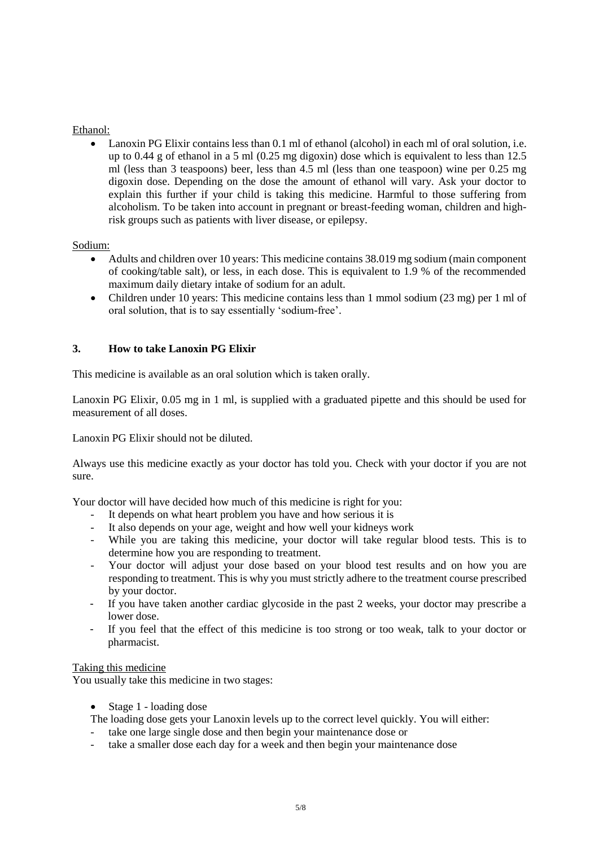## Ethanol:

• Lanoxin PG Elixir contains less than 0.1 ml of ethanol (alcohol) in each ml of oral solution, i.e. up to 0.44 g of ethanol in a 5 ml (0.25 mg digoxin) dose which is equivalent to less than 12.5 ml (less than 3 teaspoons) beer, less than 4.5 ml (less than one teaspoon) wine per 0.25 mg digoxin dose. Depending on the dose the amount of ethanol will vary. Ask your doctor to explain this further if your child is taking this medicine. Harmful to those suffering from alcoholism. To be taken into account in pregnant or breast-feeding woman, children and highrisk groups such as patients with liver disease, or epilepsy.

## Sodium:

- Adults and children over 10 years: This medicine contains 38.019 mg sodium (main component of cooking/table salt), or less, in each dose. This is equivalent to 1.9 % of the recommended maximum daily dietary intake of sodium for an adult.
- Children under 10 years: This medicine contains less than 1 mmol sodium (23 mg) per 1 ml of oral solution, that is to say essentially 'sodium-free'.

## **3. How to take Lanoxin PG Elixir**

This medicine is available as an oral solution which is taken orally.

Lanoxin PG Elixir, 0.05 mg in 1 ml, is supplied with a graduated pipette and this should be used for measurement of all doses.

Lanoxin PG Elixir should not be diluted.

Always use this medicine exactly as your doctor has told you. Check with your doctor if you are not sure.

Your doctor will have decided how much of this medicine is right for you:

- It depends on what heart problem you have and how serious it is
- It also depends on your age, weight and how well your kidneys work
- While you are taking this medicine, your doctor will take regular blood tests. This is to determine how you are responding to treatment.
- Your doctor will adjust your dose based on your blood test results and on how you are responding to treatment. This is why you must strictly adhere to the treatment course prescribed by your doctor.
- If you have taken another cardiac glycoside in the past 2 weeks, your doctor may prescribe a lower dose.
- If you feel that the effect of this medicine is too strong or too weak, talk to your doctor or pharmacist.

## Taking this medicine

You usually take this medicine in two stages:

- Stage 1 loading dose
- The loading dose gets your Lanoxin levels up to the correct level quickly. You will either:
- take one large single dose and then begin your maintenance dose or
- take a smaller dose each day for a week and then begin your maintenance dose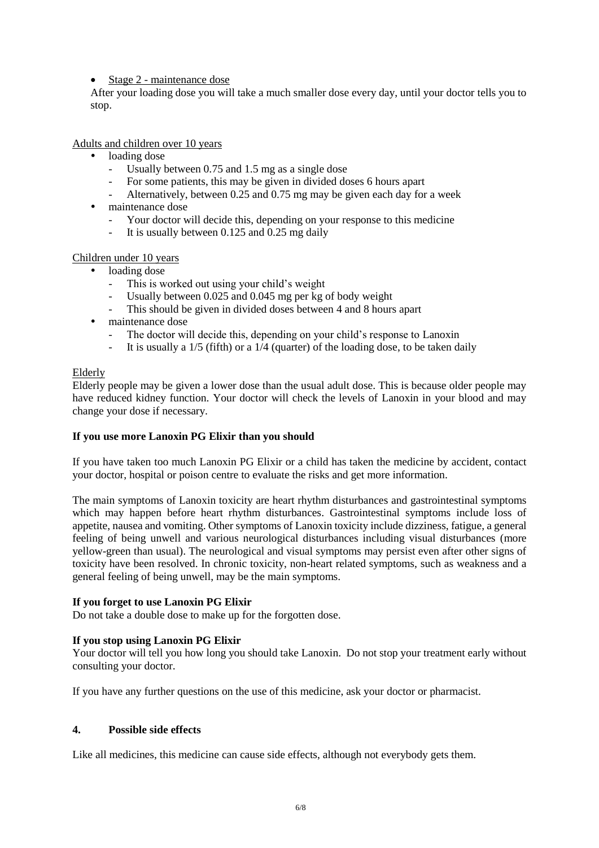• Stage 2 - maintenance dose

After your loading dose you will take a much smaller dose every day, until your doctor tells you to stop.

Adults and children over 10 years

- loading dose
	- Usually between 0.75 and 1.5 mg as a single dose
	- For some patients, this may be given in divided doses 6 hours apart
	- Alternatively, between 0.25 and 0.75 mg may be given each day for a week
- maintenance dose
	- Your doctor will decide this, depending on your response to this medicine
	- It is usually between  $0.125$  and  $0.25$  mg daily

## Children under 10 years

- loading dose
	- This is worked out using your child's weight
	- Usually between 0.025 and 0.045 mg per kg of body weight
	- This should be given in divided doses between 4 and 8 hours apart
- maintenance dose
	- The doctor will decide this, depending on your child's response to Lanoxin
	- It is usually a  $1/5$  (fifth) or a  $1/4$  (quarter) of the loading dose, to be taken daily

## Elderly

Elderly people may be given a lower dose than the usual adult dose. This is because older people may have reduced kidney function. Your doctor will check the levels of Lanoxin in your blood and may change your dose if necessary.

## **If you use more Lanoxin PG Elixir than you should**

If you have taken too much Lanoxin PG Elixir or a child has taken the medicine by accident, contact your doctor, hospital or poison centre to evaluate the risks and get more information.

The main symptoms of Lanoxin toxicity are heart rhythm disturbances and gastrointestinal symptoms which may happen before heart rhythm disturbances. Gastrointestinal symptoms include loss of appetite, nausea and vomiting. Other symptoms of Lanoxin toxicity include dizziness, fatigue, a general feeling of being unwell and various neurological disturbances including visual disturbances (more yellow-green than usual). The neurological and visual symptoms may persist even after other signs of toxicity have been resolved. In chronic toxicity, non-heart related symptoms, such as weakness and a general feeling of being unwell, may be the main symptoms.

## **If you forget to use Lanoxin PG Elixir**

Do not take a double dose to make up for the forgotten dose.

## **If you stop using Lanoxin PG Elixir**

Your doctor will tell you how long you should take Lanoxin. Do not stop your treatment early without consulting your doctor.

If you have any further questions on the use of this medicine, ask your doctor or pharmacist.

## **4. Possible side effects**

Like all medicines, this medicine can cause side effects, although not everybody gets them.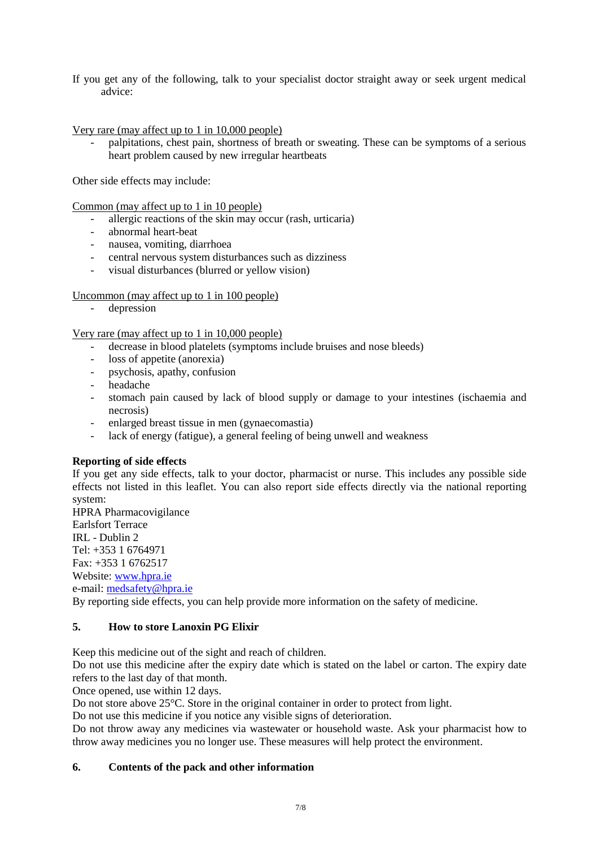If you get any of the following, talk to your specialist doctor straight away or seek urgent medical advice:

Very rare (may affect up to 1 in 10,000 people)

palpitations, chest pain, shortness of breath or sweating. These can be symptoms of a serious heart problem caused by new irregular heartbeats

Other side effects may include:

Common (may affect up to 1 in 10 people)

- allergic reactions of the skin may occur (rash, urticaria)
- abnormal heart-beat
- nausea, vomiting, diarrhoea
- central nervous system disturbances such as dizziness
- visual disturbances (blurred or yellow vision)

Uncommon (may affect up to 1 in 100 people)

- depression

Very rare (may affect up to 1 in 10,000 people)

- decrease in blood platelets (symptoms include bruises and nose bleeds)
- loss of appetite (anorexia)
- psychosis, apathy, confusion
- headache
- stomach pain caused by lack of blood supply or damage to your intestines (ischaemia and necrosis)
- enlarged breast tissue in men (gynaecomastia)
- lack of energy (fatigue), a general feeling of being unwell and weakness

## **Reporting of side effects**

If you get any side effects, talk to your doctor, pharmacist or nurse. This includes any possible side effects not listed in this leaflet. You can also report side effects directly via the national reporting system:

HPRA Pharmacovigilance Earlsfort Terrace IRL - Dublin 2 Tel: +353 1 6764971 Fax: +353 1 6762517 Website: [www.hpra.ie](http://www.hpra.ie/) e-mail: [medsafety@hpra.ie](mailto:medsafety@hpra.ie) By reporting side effects, you can help provide more information on the safety of medicine.

# **5. How to store Lanoxin PG Elixir**

Keep this medicine out of the sight and reach of children.

Do not use this medicine after the expiry date which is stated on the label or carton. The expiry date refers to the last day of that month.

Once opened, use within 12 days.

Do not store above 25°C. Store in the original container in order to protect from light.

Do not use this medicine if you notice any visible signs of deterioration.

Do not throw away any medicines via wastewater or household waste. Ask your pharmacist how to throw away medicines you no longer use. These measures will help protect the environment.

## **6. Contents of the pack and other information**